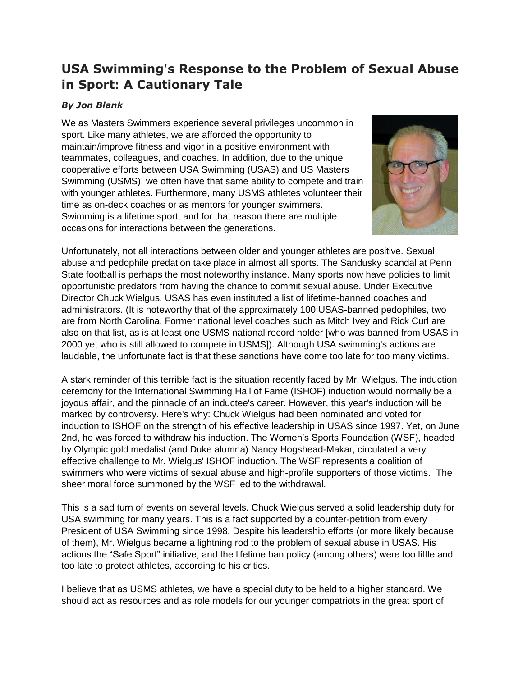## **USA Swimming's Response to the Problem of Sexual Abuse in Sport: A Cautionary Tale**

## *By Jon Blank*

We as Masters Swimmers experience several privileges uncommon in sport. Like many athletes, we are afforded the opportunity to maintain/improve fitness and vigor in a positive environment with teammates, colleagues, and coaches. In addition, due to the unique cooperative efforts between USA Swimming (USAS) and US Masters Swimming (USMS), we often have that same ability to compete and train with younger athletes. Furthermore, many USMS athletes volunteer their time as on-deck coaches or as mentors for younger swimmers. Swimming is a lifetime sport, and for that reason there are multiple occasions for interactions between the generations.



Unfortunately, not all interactions between older and younger athletes are positive. Sexual abuse and pedophile predation take place in almost all sports. The Sandusky scandal at Penn State football is perhaps the most noteworthy instance. Many sports now have policies to limit opportunistic predators from having the chance to commit sexual abuse. Under Executive Director Chuck Wielgus, USAS has even instituted a list of lifetime-banned coaches and administrators. (It is noteworthy that of the approximately 100 USAS-banned pedophiles, two are from North Carolina. Former national level coaches such as Mitch Ivey and Rick Curl are also on that list, as is at least one USMS national record holder [who was banned from USAS in 2000 yet who is still allowed to compete in USMS]). Although USA swimming's actions are laudable, the unfortunate fact is that these sanctions have come too late for too many victims.

A stark reminder of this terrible fact is the situation recently faced by Mr. Wielgus. The induction ceremony for the International Swimming Hall of Fame (ISHOF) induction would normally be a joyous affair, and the pinnacle of an inductee's career. However, this year's induction will be marked by controversy. Here's why: Chuck Wielgus had been nominated and voted for induction to ISHOF on the strength of his effective leadership in USAS since 1997. Yet, on June 2nd, he was forced to withdraw his induction. The Women's Sports Foundation (WSF), headed by Olympic gold medalist (and Duke alumna) Nancy Hogshead-Makar, circulated a very effective challenge to Mr. Wielgus' ISHOF induction. The WSF represents a coalition of swimmers who were victims of sexual abuse and high-profile supporters of those victims. The sheer moral force summoned by the WSF led to the withdrawal.

This is a sad turn of events on several levels. Chuck Wielgus served a solid leadership duty for USA swimming for many years. This is a fact supported by a counter-petition from every President of USA Swimming since 1998. Despite his leadership efforts (or more likely because of them), Mr. Wielgus became a lightning rod to the problem of sexual abuse in USAS. His actions the "Safe Sport" initiative, and the lifetime ban policy (among others) were too little and too late to protect athletes, according to his critics.

I believe that as USMS athletes, we have a special duty to be held to a higher standard. We should act as resources and as role models for our younger compatriots in the great sport of